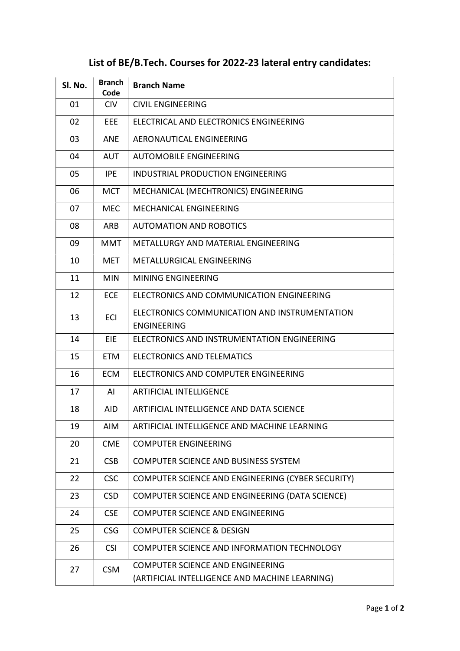## List of BE/B.Tech. Courses for 2022-23 lateral entry candidates:

| SI. No. | <b>Branch</b><br>Code | <b>Branch Name</b>                                                  |
|---------|-----------------------|---------------------------------------------------------------------|
| 01      | <b>CIV</b>            | <b>CIVIL ENGINEERING</b>                                            |
| 02      | EEE                   | ELECTRICAL AND ELECTRONICS ENGINEERING                              |
| 03      | <b>ANE</b>            | AERONAUTICAL ENGINEERING                                            |
| 04      | <b>AUT</b>            | <b>AUTOMOBILE ENGINEERING</b>                                       |
| 05      | IPE.                  | INDUSTRIAL PRODUCTION ENGINEERING                                   |
| 06      | <b>MCT</b>            | MECHANICAL (MECHTRONICS) ENGINEERING                                |
| 07      | <b>MEC</b>            | <b>MECHANICAL ENGINEERING</b>                                       |
| 08      | ARB                   | <b>AUTOMATION AND ROBOTICS</b>                                      |
| 09      | MMT                   | METALLURGY AND MATERIAL ENGINEERING                                 |
| 10      | <b>MET</b>            | METALLURGICAL ENGINEERING                                           |
| 11      | <b>MIN</b>            | <b>MINING ENGINEERING</b>                                           |
| 12      | <b>ECE</b>            | ELECTRONICS AND COMMUNICATION ENGINEERING                           |
| 13      | ECI                   | ELECTRONICS COMMUNICATION AND INSTRUMENTATION<br><b>ENGINEERING</b> |
| 14      | EIE                   | ELECTRONICS AND INSTRUMENTATION ENGINEERING                         |
| 15      | <b>ETM</b>            | <b>ELECTRONICS AND TELEMATICS</b>                                   |
| 16      | <b>ECM</b>            | ELECTRONICS AND COMPUTER ENGINEERING                                |
| 17      | AI                    | <b>ARTIFICIAL INTELLIGENCE</b>                                      |
| 18      | AID                   | ARTIFICIAL INTELLIGENCE AND DATA SCIENCE                            |
| 19      | <b>AIM</b>            | ARTIFICIAL INTELLIGENCE AND MACHINE LEARNING                        |
| 20      | <b>CME</b>            | <b>COMPUTER ENGINEERING</b>                                         |
| 21      | <b>CSB</b>            | <b>COMPUTER SCIENCE AND BUSINESS SYSTEM</b>                         |
| 22      | <b>CSC</b>            | COMPUTER SCIENCE AND ENGINEERING (CYBER SECURITY)                   |
| 23      | <b>CSD</b>            | COMPUTER SCIENCE AND ENGINEERING (DATA SCIENCE)                     |
| 24      | <b>CSE</b>            | <b>COMPUTER SCIENCE AND ENGINEERING</b>                             |
| 25      | <b>CSG</b>            | <b>COMPUTER SCIENCE &amp; DESIGN</b>                                |
| 26      | <b>CSI</b>            | COMPUTER SCIENCE AND INFORMATION TECHNOLOGY                         |
| 27      | <b>CSM</b>            | <b>COMPUTER SCIENCE AND ENGINEERING</b>                             |
|         |                       | (ARTIFICIAL INTELLIGENCE AND MACHINE LEARNING)                      |